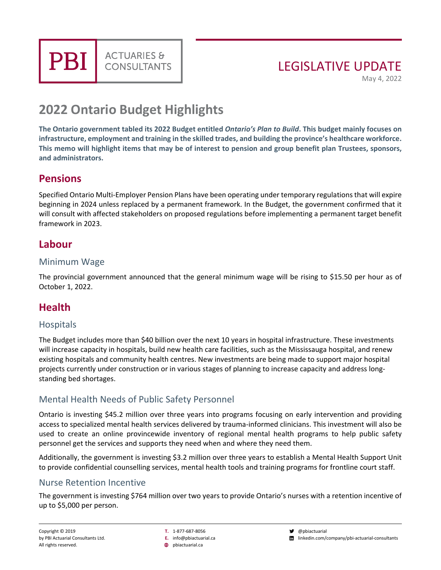**PBI** 

## LEGISLATIVE UPDATE

May 4, 2022

# **2022 Ontario Budget Highlights**

**ACTUARIES &** 

**CONSULTANTS** 

**The Ontario government tabled its 2022 Budget entitled** *Ontario's Plan to Build***. This budget mainly focuses on infrastructure, employment and training in the skilled trades, and building the province's healthcare workforce. This memo will highlight items that may be of interest to pension and group benefit plan Trustees, sponsors, and administrators.**

## **Pensions**

Specified Ontario Multi-Employer Pension Plans have been operating under temporary regulations that will expire beginning in 2024 unless replaced by a permanent framework. In the Budget, the government confirmed that it will consult with affected stakeholders on proposed regulations before implementing a permanent target benefit framework in 2023.

## **Labour**

#### Minimum Wage

The provincial government announced that the general minimum wage will be rising to \$15.50 per hour as of October 1, 2022.

## **Health**

#### **Hospitals**

The Budget includes more than \$40 billion over the next 10 years in hospital infrastructure. These investments will increase capacity in hospitals, build new health care facilities, such as the Mississauga hospital, and renew existing hospitals and community health centres. New investments are being made to support major hospital projects currently under construction or in various stages of planning to increase capacity and address longstanding bed shortages.

#### Mental Health Needs of Public Safety Personnel

Ontario is investing \$45.2 million over three years into programs focusing on early intervention and providing access to specialized mental health services delivered by trauma-informed clinicians. This investment will also be used to create an online provincewide inventory of regional mental health programs to help public safety personnel get the services and supports they need when and where they need them.

Additionally, the government is investing \$3.2 million over three years to establish a Mental Health Support Unit to provide confidential counselling services, mental health tools and training programs for frontline court staff.

#### Nurse Retention Incentive

The government is investing \$764 million over two years to provide Ontario's nurses with a retention incentive of up to \$5,000 per person.

**T.** 1-877-687-8056

**E.** info@pbiactuarial.ca

**<sup>46</sup>** phiactuarial.ca

 $\bullet$  @pbiactuarial

linkedin.com/company/pbi-actuarial-consultants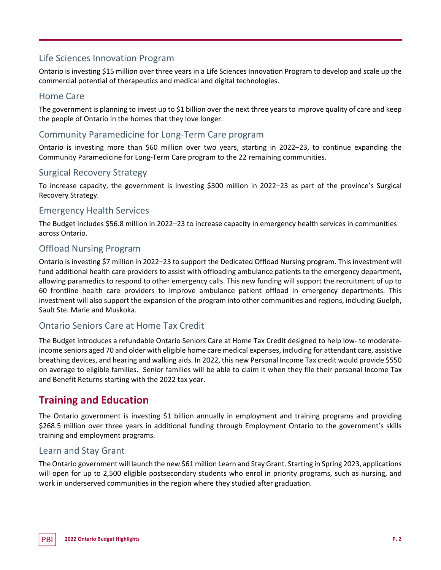#### Life Sciences Innovation Program

Ontario is investing \$15 million over three years in a Life Sciences Innovation Program to develop and scale up the commercial potential of therapeutics and medical and digital technologies.

#### Home Care

The government is planning to invest up to \$1 billion over the next three years to improve quality of care and keep the people of Ontario in the homes that they love longer.

#### Community Paramedicine for Long-Term Care program

Ontario is investing more than \$60 million over two years, starting in 2022–23, to continue expanding the Community Paramedicine for Long-Term Care program to the 22 remaining communities.

#### Surgical Recovery Strategy

To increase capacity, the government is investing \$300 million in 2022–23 as part of the province's Surgical Recovery Strategy.

#### Emergency Health Services

The Budget includes \$56.8 million in 2022–23 to increase capacity in emergency health services in communities across Ontario.

#### Offload Nursing Program

Ontario is investing \$7 million in 2022–23 to support the Dedicated Offload Nursing program. This investment will fund additional health care providers to assist with offloading ambulance patients to the emergency department, allowing paramedics to respond to other emergency calls. This new funding will support the recruitment of up to 60 frontline health care providers to improve ambulance patient offload in emergency departments. This investment will also support the expansion of the program into other communities and regions, including Guelph, Sault Ste. Marie and Muskoka.

#### Ontario Seniors Care at Home Tax Credit

The Budget introduces a refundable Ontario Seniors Care at Home Tax Credit designed to help low- to moderateincome seniors aged 70 and older with eligible home care medical expenses, including for attendant care, assistive breathing devices, and hearing and walking aids. In 2022, this new Personal Income Tax credit would provide \$550 on average to eligible families. Senior families will be able to claim it when they file their personal Income Tax and Benefit Returns starting with the 2022 tax year.

## **Training and Education**

The Ontario government is investing \$1 billion annually in employment and training programs and providing \$268.5 million over three years in additional funding through Employment Ontario to the government's skills training and employment programs.

#### Learn and Stay Grant

The Ontario government will launch the new \$61 million Learn and Stay Grant. Starting in Spring 2023, applications will open for up to 2,500 eligible postsecondary students who enrol in priority programs, such as nursing, and work in underserved communities in the region where they studied after graduation.